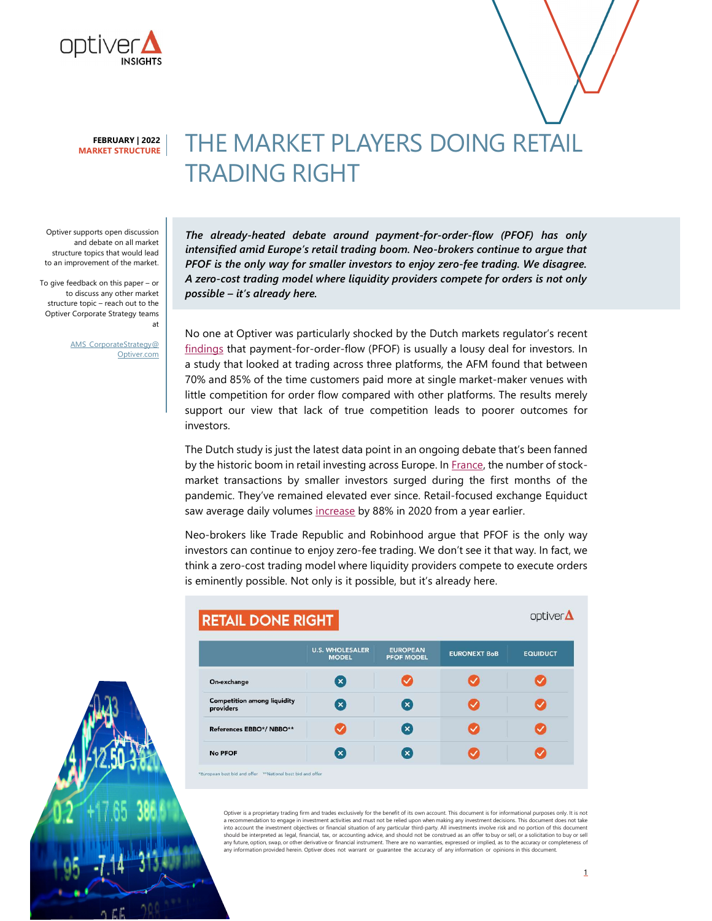

# THE MARKET PLAYERS DOING RETAIL TRADING RIGHT

Optiver supports open discussion and debate on all market structure topics that would lead to an improvement of the market.

To give feedback on this paper – or to discuss any other market structure topic – reach out to the Optiver Corporate Strategy teams at

> AMS\_CorporateStrategy@ Optiver.com

The already-heated debate around payment-for-order-flow (PFOF) has only intensified amid Europe's retail trading boom. Neo-brokers continue to argue that PFOF is the only way for smaller investors to enjoy zero-fee trading. We disagree. A zero-cost trading model where liquidity providers compete for orders is not only possible – it's already here.

No one at Optiver was particularly shocked by the Dutch markets regulator's recent findings that payment-for-order-flow (PFOF) is usually a lousy deal for investors. In a study that looked at trading across three platforms, the AFM found that between 70% and 85% of the time customers paid more at single market-maker venues with little competition for order flow compared with other platforms. The results merely support our view that lack of true competition leads to poorer outcomes for investors.

The Dutch study is just the latest data point in an ongoing debate that's been fanned by the historic boom in retail investing across Europe. In France, the number of stockmarket transactions by smaller investors surged during the first months of the pandemic. They've remained elevated ever since. Retail-focused exchange Equiduct saw average daily volumes increase by 88% in 2020 from a year earlier.

Neo-brokers like Trade Republic and Robinhood argue that PFOF is the only way investors can continue to enjoy zero-fee trading. We don't see it that way. In fact, we think a zero-cost trading model where liquidity providers compete to execute orders is eminently possible. Not only is it possible, but it's already here.

| optiver <b>△</b><br><b>RETAIL DONE RIGHT</b>    |                                        |                                      |                     |                 |
|-------------------------------------------------|----------------------------------------|--------------------------------------|---------------------|-----------------|
|                                                 | <b>U.S. WHOLESALER</b><br><b>MODEL</b> | <b>EUROPEAN</b><br><b>PFOF MODEL</b> | <b>EURONEXT BoB</b> | <b>EQUIDUCT</b> |
| On-exchange                                     | $\left( \mathbf{x}\right)$             |                                      |                     |                 |
| <b>Competition among liquidity</b><br>providers | $\mathbf{x}$                           | $\mathbf{x}$                         |                     |                 |
| References EBBO*/ NBBO**                        | $\checkmark$                           | ×                                    |                     |                 |
| <b>No PFOF</b>                                  | $(\mathbf{x})$                         | ×                                    |                     |                 |

Optiver is a proprietary trading firm and trades exclusively for the benefit of its own account. This document is for informational purposes only. It is not a recommendation to engage in investment activities and must not be relied upon when making any investment decisions. This document does not take into account the investment objectives or financial situation of any particular third-party. All investments involve risk and no portion of this document<br>should be interpreted as legal, financial, tax, or accounting advice any information provided herein. Optiver does not warrant or guarantee the accuracy of any information or opinions in this document.

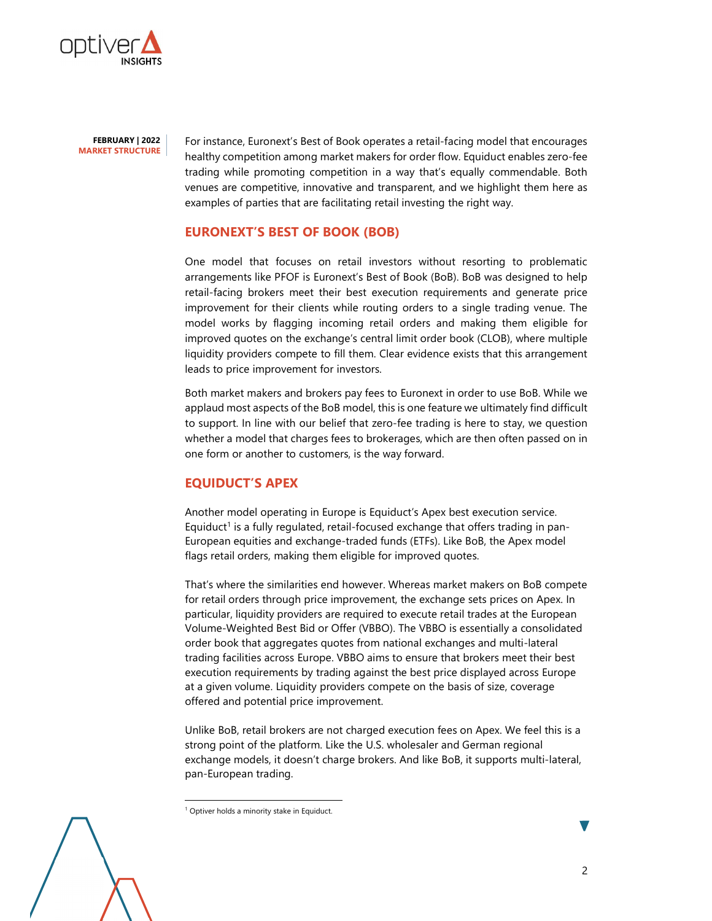

For instance, Euronext's Best of Book operates a retail-facing model that encourages healthy competition among market makers for order flow. Equiduct enables zero-fee trading while promoting competition in a way that's equally commendable. Both venues are competitive, innovative and transparent, and we highlight them here as examples of parties that are facilitating retail investing the right way.

### EURONEXT'S BEST OF BOOK (BOB)

One model that focuses on retail investors without resorting to problematic arrangements like PFOF is Euronext's Best of Book (BoB). BoB was designed to help retail-facing brokers meet their best execution requirements and generate price improvement for their clients while routing orders to a single trading venue. The model works by flagging incoming retail orders and making them eligible for improved quotes on the exchange's central limit order book (CLOB), where multiple liquidity providers compete to fill them. Clear evidence exists that this arrangement leads to price improvement for investors.

Both market makers and brokers pay fees to Euronext in order to use BoB. While we applaud most aspects of the BoB model, this is one feature we ultimately find difficult to support. In line with our belief that zero-fee trading is here to stay, we question whether a model that charges fees to brokerages, which are then often passed on in one form or another to customers, is the way forward.

## EQUIDUCT'S APEX

Another model operating in Europe is Equiduct's Apex best execution service. Equiduct<sup>1</sup> is a fully regulated, retail-focused exchange that offers trading in pan-European equities and exchange-traded funds (ETFs). Like BoB, the Apex model flags retail orders, making them eligible for improved quotes.

That's where the similarities end however. Whereas market makers on BoB compete for retail orders through price improvement, the exchange sets prices on Apex. In particular, liquidity providers are required to execute retail trades at the European Volume-Weighted Best Bid or Offer (VBBO). The VBBO is essentially a consolidated order book that aggregates quotes from national exchanges and multi-lateral trading facilities across Europe. VBBO aims to ensure that brokers meet their best execution requirements by trading against the best price displayed across Europe at a given volume. Liquidity providers compete on the basis of size, coverage offered and potential price improvement.

Unlike BoB, retail brokers are not charged execution fees on Apex. We feel this is a strong point of the platform. Like the U.S. wholesaler and German regional exchange models, it doesn't charge brokers. And like BoB, it supports multi-lateral, pan-European trading.

-

<sup>&</sup>lt;sup>1</sup> Optiver holds a minority stake in Equiduct.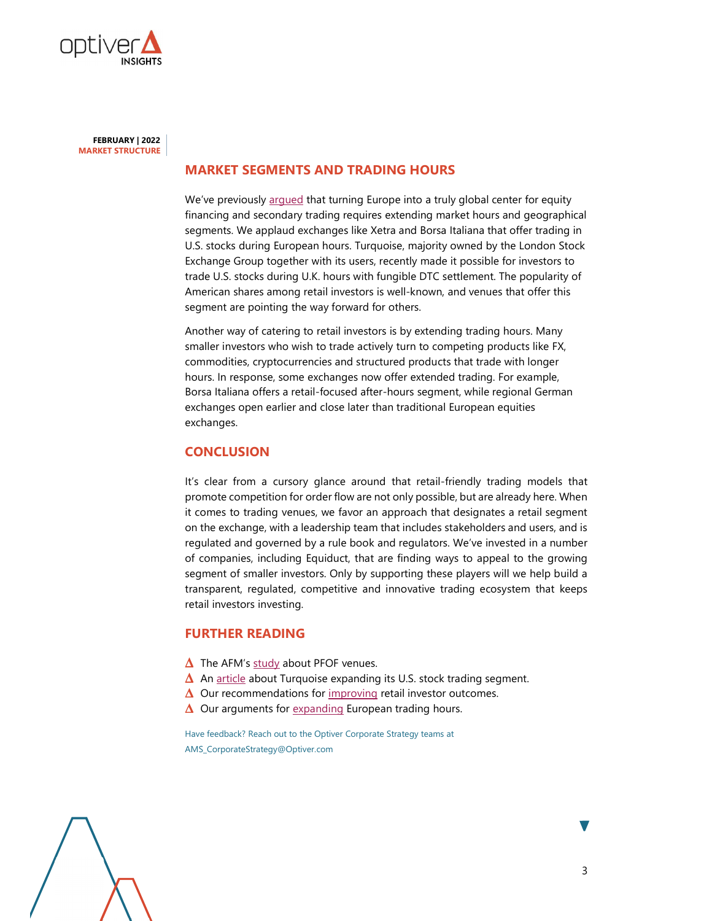

### MARKET SEGMENTS AND TRADING HOURS

We've previously argued that turning Europe into a truly global center for equity financing and secondary trading requires extending market hours and geographical segments. We applaud exchanges like Xetra and Borsa Italiana that offer trading in U.S. stocks during European hours. Turquoise, majority owned by the London Stock Exchange Group together with its users, recently made it possible for investors to trade U.S. stocks during U.K. hours with fungible DTC settlement. The popularity of American shares among retail investors is well-known, and venues that offer this segment are pointing the way forward for others.

Another way of catering to retail investors is by extending trading hours. Many smaller investors who wish to trade actively turn to competing products like FX, commodities, cryptocurrencies and structured products that trade with longer hours. In response, some exchanges now offer extended trading. For example, Borsa Italiana offers a retail-focused after-hours segment, while regional German exchanges open earlier and close later than traditional European equities exchanges.

### **CONCLUSION**

It's clear from a cursory glance around that retail-friendly trading models that promote competition for order flow are not only possible, but are already here. When it comes to trading venues, we favor an approach that designates a retail segment on the exchange, with a leadership team that includes stakeholders and users, and is regulated and governed by a rule book and regulators. We've invested in a number of companies, including Equiduct, that are finding ways to appeal to the growing segment of smaller investors. Only by supporting these players will we help build a transparent, regulated, competitive and innovative trading ecosystem that keeps retail investors investing.

### FURTHER READING

- $\Delta$  The AFM's study about PFOF venues.
- $\Delta$  An article about Turquoise expanding its U.S. stock trading segment.
- $\Delta$  Our recommendations for improving retail investor outcomes.
- $\Delta$  Our arguments for expanding European trading hours.

Have feedback? Reach out to the Optiver Corporate Strategy teams at AMS\_CorporateStrategy@Optiver.com